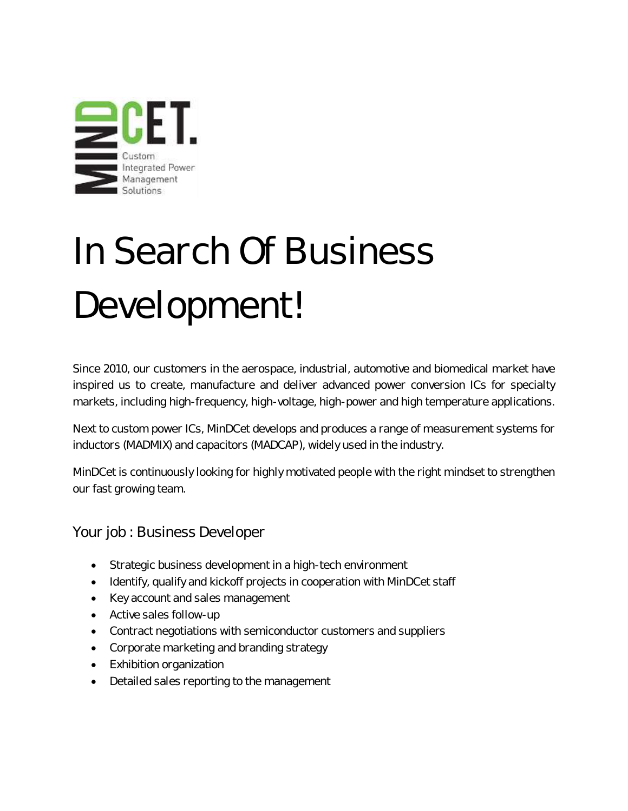

## In Search Of Business Development!

Since 2010, our customers in the aerospace, industrial, automotive and biomedical market have inspired us to create, manufacture and deliver advanced power conversion ICs for specialty markets, including high-frequency, high-voltage, high-power and high temperature applications.

Next to custom power ICs, MinDCet develops and produces a range of measurement systems for inductors (MADMIX) and capacitors (MADCAP), widely used in the industry.

MinDCet is continuously looking for highly motivated people with the right mindset to strengthen our fast growing team.

Your job : Business Developer

- Strategic business development in a high-tech environment
- Identify, qualify and kickoff projects in cooperation with MinDCet staff
- Key account and sales management
- Active sales follow-up
- Contract negotiations with semiconductor customers and suppliers
- Corporate marketing and branding strategy
- Exhibition organization
- Detailed sales reporting to the management